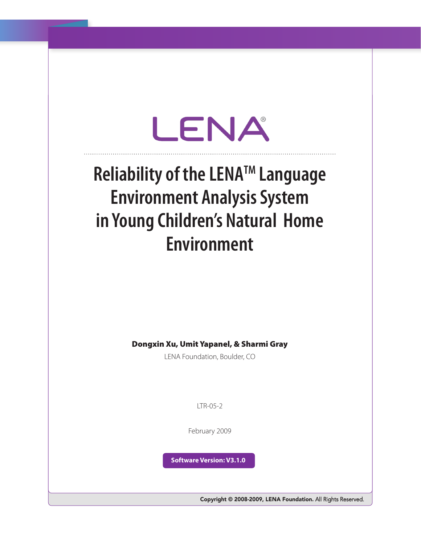# LENA

## **Reliability of the LENATM Language Environment Analysis System in Young Children's Natural Home Environment**

Dongxin Xu, Umit Yapanel, & Sharmi Gray

LENA Foundation, Boulder, CO

 $LTR-0.5-2$ 

February 2009

**Software Version: V3.1.0** 

Copyright © 2008-2009, LENA Foundation. All Rights Reserved.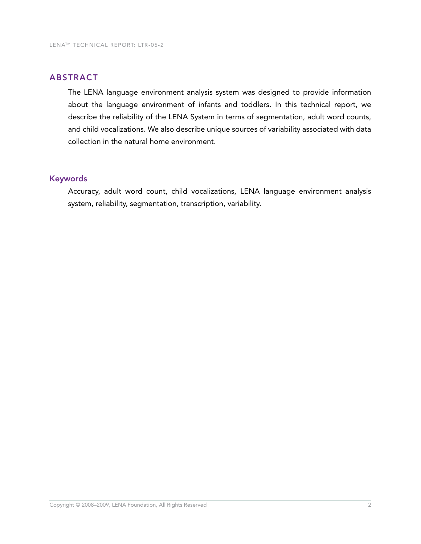### **ABSTRACT**

The LENA language environment analysis system was designed to provide information about the language environment of infants and toddlers. In this technical report, we describe the reliability of the LENA System in terms of segmentation, adult word counts, and child vocalizations. We also describe unique sources of variability associated with data collection in the natural home environment.

#### Keywords

Accuracy, adult word count, child vocalizations, LENA language environment analysis system, reliability, segmentation, transcription, variability.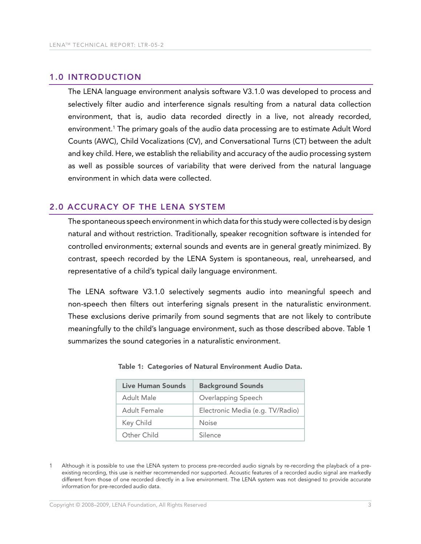#### 1.0 IntroDUctIon

The LENA language environment analysis software V3.1.0 was developed to process and selectively filter audio and interference signals resulting from a natural data collection environment, that is, audio data recorded directly in a live, not already recorded, environment.1 The primary goals of the audio data processing are to estimate Adult Word Counts (AWC), Child Vocalizations (CV), and Conversational Turns (CT) between the adult and key child. Here, we establish the reliability and accuracy of the audio processing system as well as possible sources of variability that were derived from the natural language environment in which data were collected.

#### 2.0 AccUrAcY of the LenA SYStem

The spontaneous speech environment in which data for this study were collected is by design natural and without restriction. Traditionally, speaker recognition software is intended for controlled environments; external sounds and events are in general greatly minimized. By contrast, speech recorded by the LENA System is spontaneous, real, unrehearsed, and representative of a child's typical daily language environment.

The LENA software V3.1.0 selectively segments audio into meaningful speech and non-speech then filters out interfering signals present in the naturalistic environment. These exclusions derive primarily from sound segments that are not likely to contribute meaningfully to the child's language environment, such as those described above. Table 1 summarizes the sound categories in a naturalistic environment.

| Live Human Sounds | <b>Background Sounds</b>         |
|-------------------|----------------------------------|
| Adult Male        | Overlapping Speech               |
| Adult Female      | Electronic Media (e.g. TV/Radio) |
| Key Child         | Noise                            |
| Other Child       | Silence                          |

#### Table 1: Categories of Natural Environment Audio Data.

Although it is possible to use the LENA system to process pre-recorded audio signals by re-recording the playback of a preexisting recording, this use is neither recommended nor supported. Acoustic features of a recorded audio signal are markedly different from those of one recorded directly in a live environment. The LENA system was not designed to provide accurate information for pre-recorded audio data.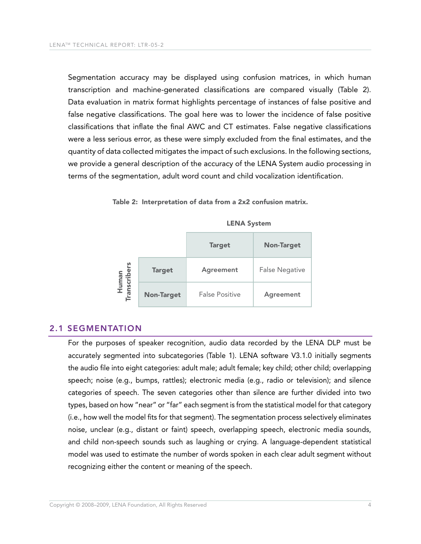Segmentation accuracy may be displayed using confusion matrices, in which human transcription and machine-generated classifications are compared visually (Table 2). Data evaluation in matrix format highlights percentage of instances of false positive and false negative classifications. The goal here was to lower the incidence of false positive classifications that inflate the final AWC and CT estimates. False negative classifications were a less serious error, as these were simply excluded from the final estimates, and the quantity of data collected mitigates the impact of such exclusions. In the following sections, we provide a general description of the accuracy of the LENA System audio processing in terms of the segmentation, adult word count and child vocalization identification.

Table 2: Interpretation of data from a 2x2 confusion matrix.



LENA System

#### 2.1 SEGMENTATION

For the purposes of speaker recognition, audio data recorded by the LENA DLP must be accurately segmented into subcategories (Table 1). LENA software V3.1.0 initially segments the audio file into eight categories: adult male; adult female; key child; other child; overlapping speech; noise (e.g., bumps, rattles); electronic media (e.g., radio or television); and silence categories of speech. The seven categories other than silence are further divided into two types, based on how "near" or "far" each segment is from the statistical model for that category (i.e., how well the model fits for that segment). The segmentation process selectively eliminates noise, unclear (e.g., distant or faint) speech, overlapping speech, electronic media sounds, and child non-speech sounds such as laughing or crying. A language-dependent statistical model was used to estimate the number of words spoken in each clear adult segment without recognizing either the content or meaning of the speech.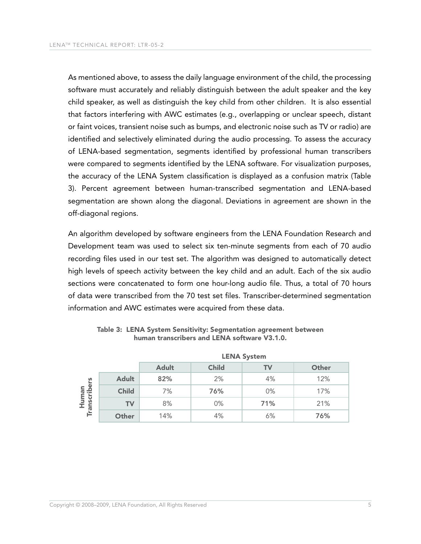As mentioned above, to assess the daily language environment of the child, the processing software must accurately and reliably distinguish between the adult speaker and the key child speaker, as well as distinguish the key child from other children. It is also essential that factors interfering with AWC estimates (e.g., overlapping or unclear speech, distant or faint voices, transient noise such as bumps, and electronic noise such as TV or radio) are identified and selectively eliminated during the audio processing. To assess the accuracy of LENA-based segmentation, segments identified by professional human transcribers were compared to segments identified by the LENA software. For visualization purposes, the accuracy of the LENA System classification is displayed as a confusion matrix (Table 3). Percent agreement between human-transcribed segmentation and LENA-based segmentation are shown along the diagonal. Deviations in agreement are shown in the off-diagonal regions.

An algorithm developed by software engineers from the LENA Foundation Research and Development team was used to select six ten-minute segments from each of 70 audio recording files used in our test set. The algorithm was designed to automatically detect high levels of speech activity between the key child and an adult. Each of the six audio sections were concatenated to form one hour-long audio file. Thus, a total of 70 hours of data were transcribed from the 70 test set files. Transcriber-determined segmentation information and AWC estimates were acquired from these data.

|                            |              | <b>LENA System</b> |              |           |       |
|----------------------------|--------------|--------------------|--------------|-----------|-------|
|                            |              | <b>Adult</b>       | <b>Child</b> | <b>TV</b> | Other |
| Human<br>Transcribers<br>国 | <b>Adult</b> | 82%                | 2%           | 4%        | 12%   |
|                            | <b>Child</b> | 7%                 | 76%          | 0%        | 17%   |
|                            | <b>TV</b>    | 8%                 | 0%           | 71%       | 21%   |
|                            | Other        | 14%                | 4%           | 6%        | 76%   |

Table 3: LENA System Sensitivity: Segmentation agreement between human transcribers and LENA software V3.1.0.

LENA System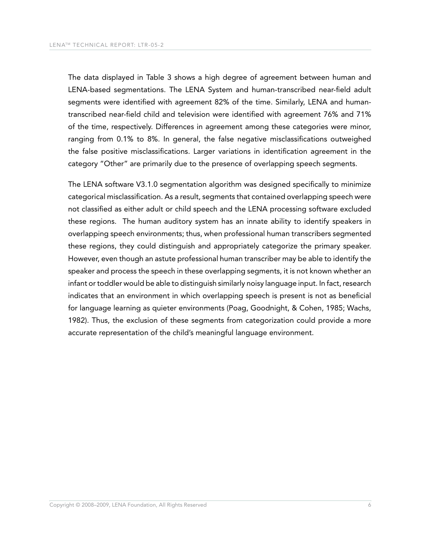The data displayed in Table 3 shows a high degree of agreement between human and LENA-based segmentations. The LENA System and human-transcribed near-field adult segments were identified with agreement 82% of the time. Similarly, LENA and humantranscribed near-field child and television were identified with agreement 76% and 71% of the time, respectively. Differences in agreement among these categories were minor, ranging from 0.1% to 8%. In general, the false negative misclassifications outweighed the false positive misclassifications. Larger variations in identification agreement in the category "Other" are primarily due to the presence of overlapping speech segments.

The LENA software V3.1.0 segmentation algorithm was designed specifically to minimize categorical misclassification. As a result, segments that contained overlapping speech were not classified as either adult or child speech and the LENA processing software excluded these regions. The human auditory system has an innate ability to identify speakers in overlapping speech environments; thus, when professional human transcribers segmented these regions, they could distinguish and appropriately categorize the primary speaker. However, even though an astute professional human transcriber may be able to identify the speaker and process the speech in these overlapping segments, it is not known whether an infant or toddler would be able to distinguish similarly noisy language input. In fact, research indicates that an environment in which overlapping speech is present is not as beneficial for language learning as quieter environments (Poag, Goodnight, & Cohen, 1985; Wachs, 1982). Thus, the exclusion of these segments from categorization could provide a more accurate representation of the child's meaningful language environment.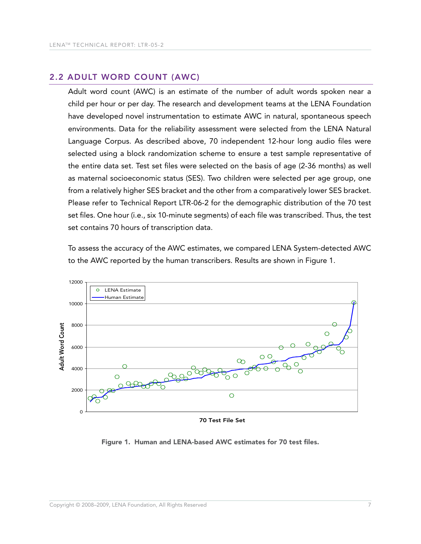#### 2.2 ADULt WorD coUnt (AWc)

Adult word count (AWC) is an estimate of the number of adult words spoken near a child per hour or per day. The research and development teams at the LENA Foundation have developed novel instrumentation to estimate AWC in natural, spontaneous speech environments. Data for the reliability assessment were selected from the LENA Natural Language Corpus. As described above, 70 independent 12-hour long audio files were selected using a block randomization scheme to ensure a test sample representative of the entire data set. Test set files were selected on the basis of age (2-36 months) as well as maternal socioeconomic status (SES). Two children were selected per age group, one from a relatively higher SES bracket and the other from a comparatively lower SES bracket. Please refer to Technical Report LTR-06-2 for the demographic distribution of the 70 test set files. One hour (i.e., six 10-minute segments) of each file was transcribed. Thus, the test set contains 70 hours of transcription data.

To assess the accuracy of the AWC estimates, we compared LENA System-detected AWC to the AWC reported by the human transcribers. Results are shown in Figure 1.



70 Test File Set

Figure 1. Human and LENA-based AWC estimates for 70 test files.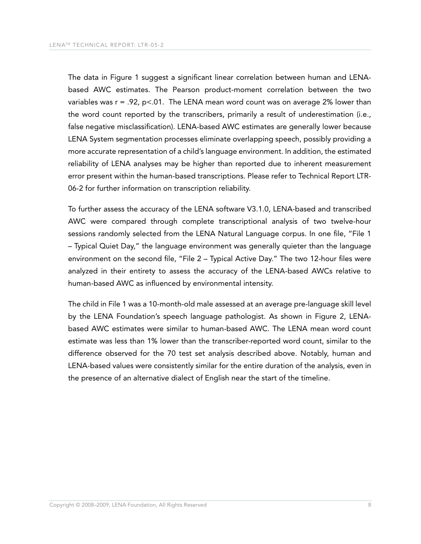The data in Figure 1 suggest a significant linear correlation between human and LENAbased AWC estimates. The Pearson product-moment correlation between the two variables was  $r = .92$ ,  $p < .01$ . The LENA mean word count was on average 2% lower than the word count reported by the transcribers, primarily a result of underestimation (i.e., false negative misclassification). LENA-based AWC estimates are generally lower because LENA System segmentation processes eliminate overlapping speech, possibly providing a more accurate representation of a child's language environment. In addition, the estimated reliability of LENA analyses may be higher than reported due to inherent measurement error present within the human-based transcriptions. Please refer to Technical Report LTR-06-2 for further information on transcription reliability.

To further assess the accuracy of the LENA software V3.1.0, LENA-based and transcribed AWC were compared through complete transcriptional analysis of two twelve-hour sessions randomly selected from the LENA Natural Language corpus. In one file, "File 1 – Typical Quiet Day," the language environment was generally quieter than the language environment on the second file, "File 2 – Typical Active Day." The two 12-hour files were analyzed in their entirety to assess the accuracy of the LENA-based AWCs relative to human-based AWC as influenced by environmental intensity.

The child in File 1 was a 10-month-old male assessed at an average pre-language skill level by the LENA Foundation's speech language pathologist. As shown in Figure 2, LENAbased AWC estimates were similar to human-based AWC. The LENA mean word count estimate was less than 1% lower than the transcriber-reported word count, similar to the difference observed for the 70 test set analysis described above. Notably, human and LENA-based values were consistently similar for the entire duration of the analysis, even in the presence of an alternative dialect of English near the start of the timeline.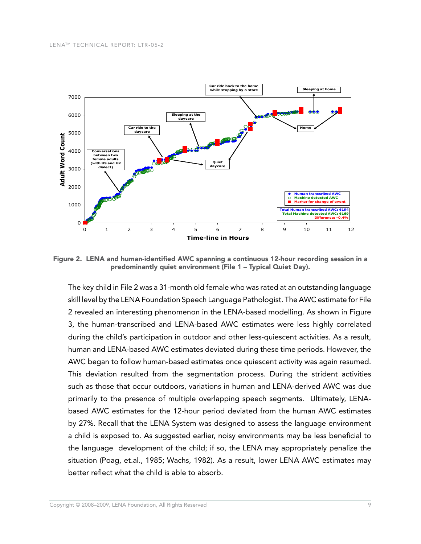

Figure 2. LENA and human-identified AWC spanning a continuous 12-hour recording session in a predominantly quiet environment (File 1 – Typical Quiet Day).

The key child in File 2 was a 31-month old female who was rated at an outstanding language skill level by the LENA Foundation Speech Language Pathologist. The AWC estimate for File 2 revealed an interesting phenomenon in the LENA-based modelling. As shown in Figure 3, the human-transcribed and LENA-based AWC estimates were less highly correlated during the child's participation in outdoor and other less-quiescent activities. As a result, human and LENA-based AWC estimates deviated during these time periods. However, the AWC began to follow human-based estimates once quiescent activity was again resumed. This deviation resulted from the segmentation process. During the strident activities such as those that occur outdoors, variations in human and LENA-derived AWC was due primarily to the presence of multiple overlapping speech segments. Ultimately, LENAbased AWC estimates for the 12-hour period deviated from the human AWC estimates by 27%. Recall that the LENA System was designed to assess the language environment a child is exposed to. As suggested earlier, noisy environments may be less beneficial to the language development of the child; if so, the LENA may appropriately penalize the situation (Poag, et.al., 1985; Wachs, 1982). As a result, lower LENA AWC estimates may better reflect what the child is able to absorb.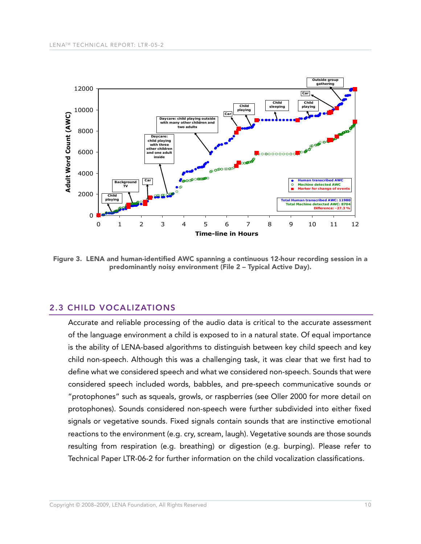

Figure 3. LENA and human-identified AWC spanning a continuous 12-hour recording session in a predominantly noisy environment (File 2 – Typical Active Day).

#### **2.3 CHILD VOCALIZATIONS**

Accurate and reliable processing of the audio data is critical to the accurate assessment of the language environment a child is exposed to in a natural state. Of equal importance is the ability of LENA-based algorithms to distinguish between key child speech and key child non-speech. Although this was a challenging task, it was clear that we first had to define what we considered speech and what we considered non-speech. Sounds that were considered speech included words, babbles, and pre-speech communicative sounds or "protophones" such as squeals, growls, or raspberries (see Oller 2000 for more detail on protophones). Sounds considered non-speech were further subdivided into either fixed signals or vegetative sounds. Fixed signals contain sounds that are instinctive emotional reactions to the environment (e.g. cry, scream, laugh). Vegetative sounds are those sounds resulting from respiration (e.g. breathing) or digestion (e.g. burping). Please refer to Technical Paper LTR-06-2 for further information on the child vocalization classifications.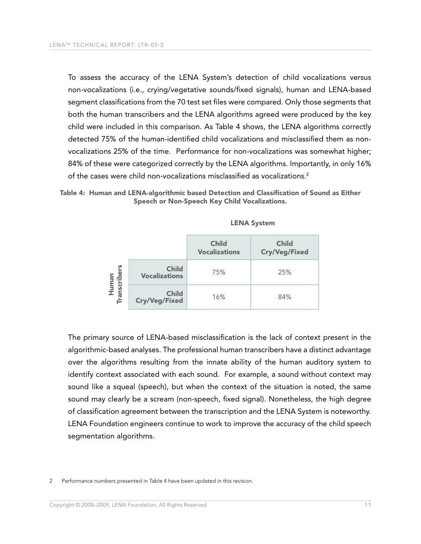To assess the accuracy of the LENA System's detection of child vocalizations versus non-vocalizations (i.e., crying/vegetative sounds/fixed signals), human and LENA-based segment classifications from the 70 test set files were compared. Only those segments that both the human transcribers and the LENA algorithms agreed were produced by the key child were included in this comparison. As Table 4 shows, the LENA algorithms correctly detected 75% of the human-identified child vocalizations and misclassified them as nonvocalizations 25% of the time. Performance for non-vocalizations was somewhat higher; 84% of these were categorized correctly by the LENA algorithms. Importantly, in only 16% of the cases were child non-vocalizations misclassified as vocalizations.2

Table 4: Human and LENA-algorithmic based Detection and Classification of Sound as Either Speech or Non-Speech Key Child Vocalizations.

|                     |                                      | <b>Child</b><br><b>Vocalizations</b> | <b>Child</b><br><b>Cry/Veg/Fixed</b> |
|---------------------|--------------------------------------|--------------------------------------|--------------------------------------|
| Human<br>anscribers | <b>Child</b><br><b>Vocalizations</b> | 75%                                  | 25%                                  |
| Га<br>П             | <b>Child</b><br><b>Cry/Veg/Fixed</b> | 16%                                  | 84%                                  |

| $<$ N A $\sim$<br>N A | <b>SVSTem</b> |
|-----------------------|---------------|
|-----------------------|---------------|

The primary source of LENA-based misclassification is the lack of context present in the algorithmic-based analyses. The professional human transcribers have a distinct advantage over the algorithms resulting from the innate ability of the human auditory system to identify context associated with each sound. For example, a sound without context may sound like a squeal (speech), but when the context of the situation is noted, the same sound may clearly be a scream (non-speech, fixed signal). Nonetheless, the high degree of classification agreement between the transcription and the LENA System is noteworthy. LENA Foundation engineers continue to work to improve the accuracy of the child speech segmentation algorithms.

2 Performance numbers presented in Table 4 have been updated in this revision.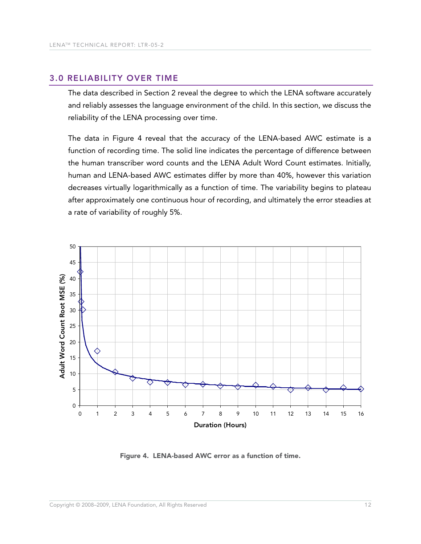#### 3.0 reLIAbILItY oVer tIme

The data described in Section 2 reveal the degree to which the LENA software accurately and reliably assesses the language environment of the child. In this section, we discuss the reliability of the LENA processing over time.

The data in Figure 4 reveal that the accuracy of the LENA-based AWC estimate is a function of recording time. The solid line indicates the percentage of difference between the human transcriber word counts and the LENA Adult Word Count estimates. Initially, human and LENA-based AWC estimates differ by more than 40%, however this variation decreases virtually logarithmically as a function of time. The variability begins to plateau after approximately one continuous hour of recording, and ultimately the error steadies at a rate of variability of roughly 5%.



Figure 4. LENA-based AWC error as a function of time.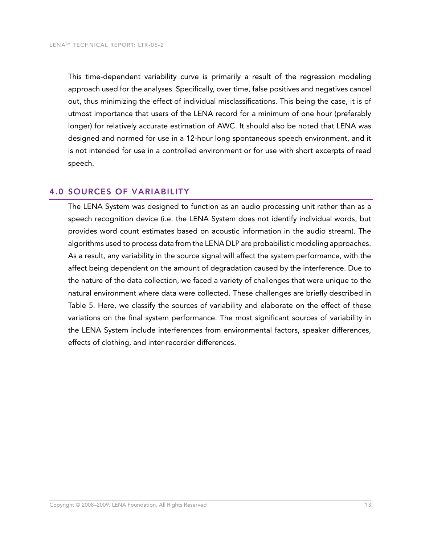This time-dependent variability curve is primarily a result of the regression modeling approach used for the analyses. Specifically, over time, false positives and negatives cancel out, thus minimizing the effect of individual misclassifications. This being the case, it is of utmost importance that users of the LENA record for a minimum of one hour (preferably longer) for relatively accurate estimation of AWC. It should also be noted that LENA was designed and normed for use in a 12-hour long spontaneous speech environment, and it is not intended for use in a controlled environment or for use with short excerpts of read speech.

#### **4.0 SOURCES OF VARIABILITY**

The LENA System was designed to function as an audio processing unit rather than as a speech recognition device (i.e. the LENA System does not identify individual words, but provides word count estimates based on acoustic information in the audio stream). The algorithms used to process data from the LENA DLP are probabilistic modeling approaches. As a result, any variability in the source signal will affect the system performance, with the affect being dependent on the amount of degradation caused by the interference. Due to the nature of the data collection, we faced a variety of challenges that were unique to the natural environment where data were collected. These challenges are briefly described in Table 5. Here, we classify the sources of variability and elaborate on the effect of these variations on the final system performance. The most significant sources of variability in the LENA System include interferences from environmental factors, speaker differences, effects of clothing, and inter-recorder differences.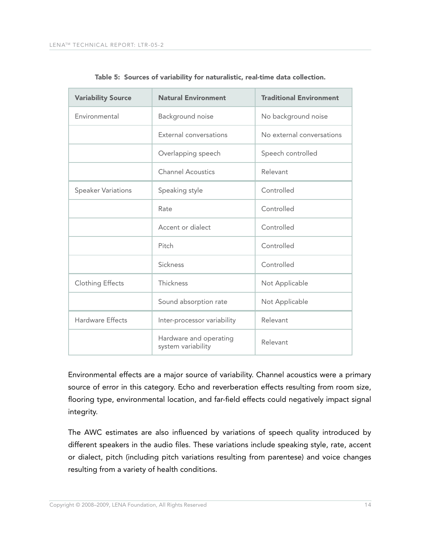| <b>Variability Source</b> | <b>Natural Environment</b>                   | <b>Traditional Environment</b> |
|---------------------------|----------------------------------------------|--------------------------------|
| Environmental             | Background noise                             | No background noise            |
|                           | External conversations                       | No external conversations      |
|                           | Overlapping speech                           | Speech controlled              |
|                           | <b>Channel Acoustics</b>                     | Relevant                       |
| <b>Speaker Variations</b> | Speaking style                               | Controlled                     |
|                           | Rate                                         | Controlled                     |
|                           | Accent or dialect                            | Controlled                     |
|                           | Pitch                                        | Controlled                     |
|                           | Sickness                                     | Controlled                     |
| <b>Clothing Effects</b>   | Thickness                                    | Not Applicable                 |
|                           | Sound absorption rate                        | Not Applicable                 |
| <b>Hardware Effects</b>   | Inter-processor variability                  | Relevant                       |
|                           | Hardware and operating<br>system variability | Relevant                       |

Table 5: Sources of variability for naturalistic, real-time data collection.

Environmental effects are a major source of variability. Channel acoustics were a primary source of error in this category. Echo and reverberation effects resulting from room size, flooring type, environmental location, and far-field effects could negatively impact signal integrity.

The AWC estimates are also influenced by variations of speech quality introduced by different speakers in the audio files. These variations include speaking style, rate, accent or dialect, pitch (including pitch variations resulting from parentese) and voice changes resulting from a variety of health conditions.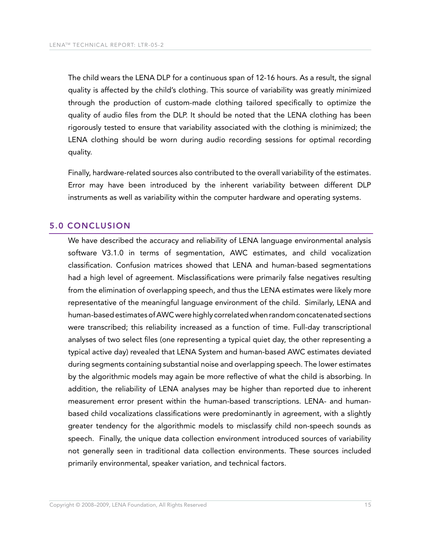The child wears the LENA DLP for a continuous span of 12-16 hours. As a result, the signal quality is affected by the child's clothing. This source of variability was greatly minimized through the production of custom-made clothing tailored specifically to optimize the quality of audio files from the DLP. It should be noted that the LENA clothing has been rigorously tested to ensure that variability associated with the clothing is minimized; the LENA clothing should be worn during audio recording sessions for optimal recording quality.

Finally, hardware-related sources also contributed to the overall variability of the estimates. Error may have been introduced by the inherent variability between different DLP instruments as well as variability within the computer hardware and operating systems.

#### 5.0 concLUSIon

We have described the accuracy and reliability of LENA language environmental analysis software V3.1.0 in terms of segmentation, AWC estimates, and child vocalization classification. Confusion matrices showed that LENA and human-based segmentations had a high level of agreement. Misclassifications were primarily false negatives resulting from the elimination of overlapping speech, and thus the LENA estimates were likely more representative of the meaningful language environment of the child. Similarly, LENA and human-based estimates of AWC were highly correlated when random concatenated sections were transcribed; this reliability increased as a function of time. Full-day transcriptional analyses of two select files (one representing a typical quiet day, the other representing a typical active day) revealed that LENA System and human-based AWC estimates deviated during segments containing substantial noise and overlapping speech. The lower estimates by the algorithmic models may again be more reflective of what the child is absorbing. In addition, the reliability of LENA analyses may be higher than reported due to inherent measurement error present within the human-based transcriptions. LENA- and humanbased child vocalizations classifications were predominantly in agreement, with a slightly greater tendency for the algorithmic models to misclassify child non-speech sounds as speech. Finally, the unique data collection environment introduced sources of variability not generally seen in traditional data collection environments. These sources included primarily environmental, speaker variation, and technical factors.